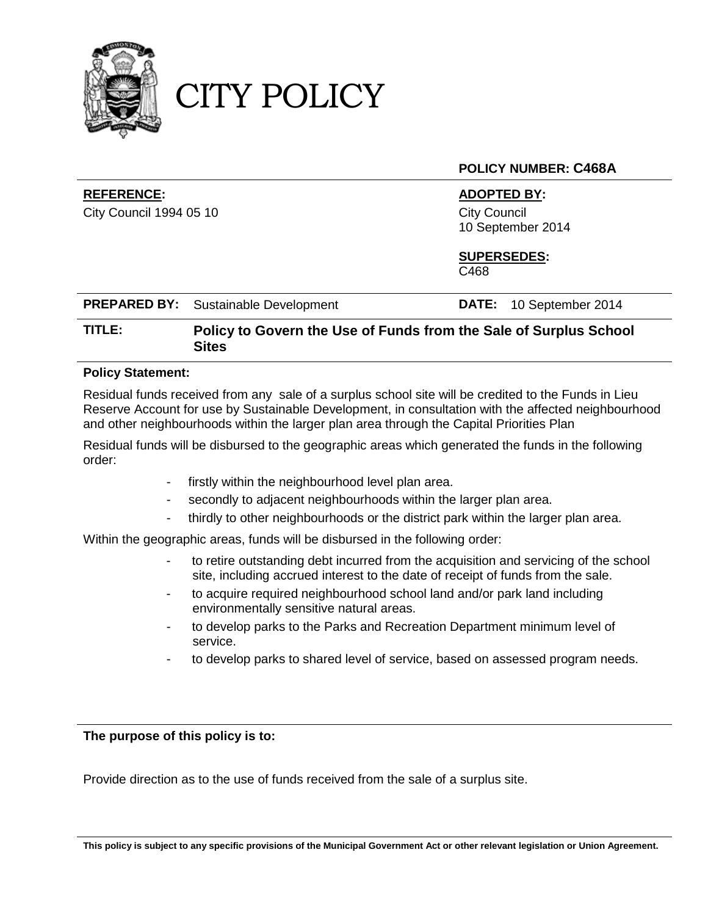

CITY POLICY

#### **POLICY NUMBER: C468A**

#### **REFERENCE: ADOPTED BY:**

City Council 1994 05 10 City Council 10 September 2014

# **SUPERSEDES:**

C468

| <b>PREPARED BY:</b> Sustainable Development | <b>DATE:</b> 10 September 2014 |
|---------------------------------------------|--------------------------------|
|                                             |                                |

### **TITLE: Policy to Govern the Use of Funds from the Sale of Surplus School Sites**

#### **Policy Statement:**

Residual funds received from any sale of a surplus school site will be credited to the Funds in Lieu Reserve Account for use by Sustainable Development, in consultation with the affected neighbourhood and other neighbourhoods within the larger plan area through the Capital Priorities Plan

Residual funds will be disbursed to the geographic areas which generated the funds in the following order:

- firstly within the neighbourhood level plan area.
- secondly to adjacent neighbourhoods within the larger plan area.
- thirdly to other neighbourhoods or the district park within the larger plan area.

Within the geographic areas, funds will be disbursed in the following order:

- to retire outstanding debt incurred from the acquisition and servicing of the school site, including accrued interest to the date of receipt of funds from the sale.
- to acquire required neighbourhood school land and/or park land including environmentally sensitive natural areas.
- to develop parks to the Parks and Recreation Department minimum level of service.
- to develop parks to shared level of service, based on assessed program needs.

#### **The purpose of this policy is to:**

Provide direction as to the use of funds received from the sale of a surplus site.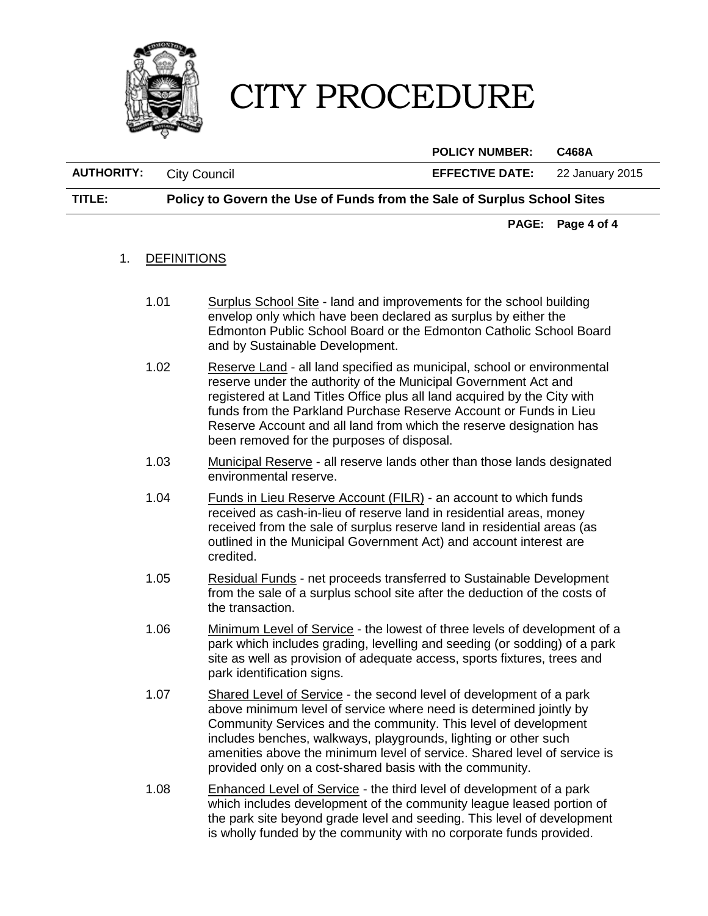

**POLICY NUMBER: C468A**

**AUTHORITY:** City Council **EFFECTIVE DATE:** 22 January 2015

**TITLE: Policy to Govern the Use of Funds from the Sale of Surplus School Sites** 

**PAGE: Page 4 of 4**

#### 1. DEFINITIONS

- 1.01 Surplus School Site land and improvements for the school building envelop only which have been declared as surplus by either the Edmonton Public School Board or the Edmonton Catholic School Board and by Sustainable Development.
- 1.02 Reserve Land all land specified as municipal, school or environmental reserve under the authority of the Municipal Government Act and registered at Land Titles Office plus all land acquired by the City with funds from the Parkland Purchase Reserve Account or Funds in Lieu Reserve Account and all land from which the reserve designation has been removed for the purposes of disposal.
- 1.03 Municipal Reserve all reserve lands other than those lands designated environmental reserve.
- 1.04 Funds in Lieu Reserve Account (FILR) an account to which funds received as cash-in-lieu of reserve land in residential areas, money received from the sale of surplus reserve land in residential areas (as outlined in the Municipal Government Act) and account interest are credited.
- 1.05 Residual Funds net proceeds transferred to Sustainable Development from the sale of a surplus school site after the deduction of the costs of the transaction.
- 1.06 Minimum Level of Service the lowest of three levels of development of a park which includes grading, levelling and seeding (or sodding) of a park site as well as provision of adequate access, sports fixtures, trees and park identification signs.
- 1.07 Shared Level of Service the second level of development of a park above minimum level of service where need is determined jointly by Community Services and the community. This level of development includes benches, walkways, playgrounds, lighting or other such amenities above the minimum level of service. Shared level of service is provided only on a cost-shared basis with the community.
- 1.08 Enhanced Level of Service the third level of development of a park which includes development of the community league leased portion of the park site beyond grade level and seeding. This level of development is wholly funded by the community with no corporate funds provided.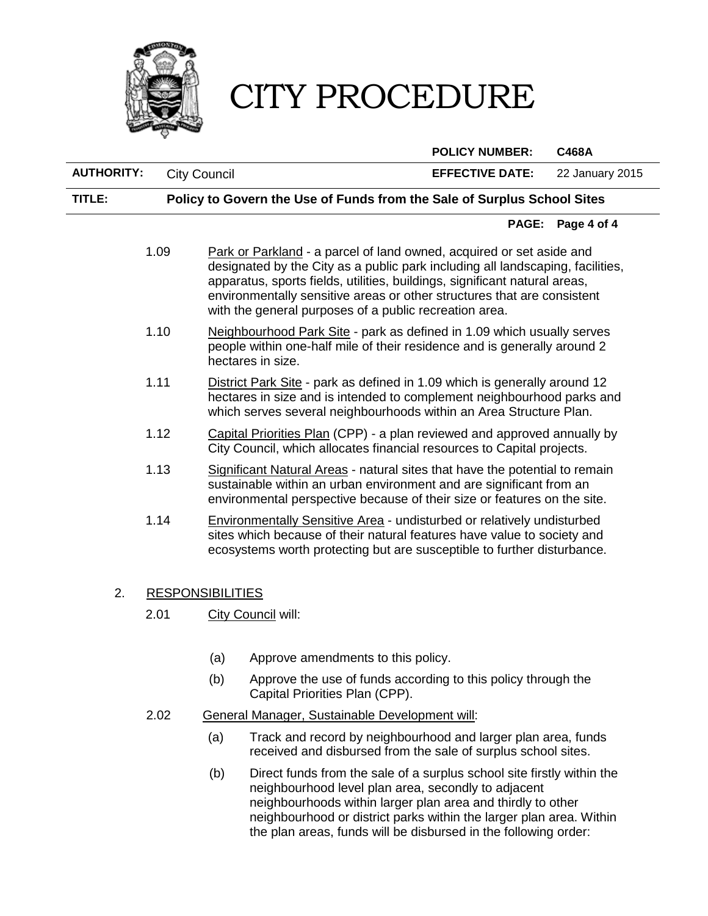

#### **POLICY NUMBER: C468A**

**AUTHORITY:** City Council **EFFECTIVE DATE:** 22 January 2015 **TITLE: Policy to Govern the Use of Funds from the Sale of Surplus School Sites PAGE: Page 4 of 4** 1.09 Park or Parkland - a parcel of land owned, acquired or set aside and designated by the City as a public park including all landscaping, facilities, apparatus, sports fields, utilities, buildings, significant natural areas, environmentally sensitive areas or other structures that are consistent with the general purposes of a public recreation area. 1.10 Neighbourhood Park Site - park as defined in 1.09 which usually serves people within one-half mile of their residence and is generally around 2 hectares in size. 1.11 District Park Site - park as defined in 1.09 which is generally around 12 hectares in size and is intended to complement neighbourhood parks and which serves several neighbourhoods within an Area Structure Plan. 1.12 Capital Priorities Plan (CPP) - a plan reviewed and approved annually by City Council, which allocates financial resources to Capital projects. 1.13 Significant Natural Areas - natural sites that have the potential to remain sustainable within an urban environment and are significant from an environmental perspective because of their size or features on the site. 1.14 Environmentally Sensitive Area - undisturbed or relatively undisturbed sites which because of their natural features have value to society and ecosystems worth protecting but are susceptible to further disturbance.

#### 2. RESPONSIBILITIES

- 2.01 City Council will:
	- (a) Approve amendments to this policy.
	- (b) Approve the use of funds according to this policy through the Capital Priorities Plan (CPP).
- 2.02 General Manager, Sustainable Development will:
	- (a) Track and record by neighbourhood and larger plan area, funds received and disbursed from the sale of surplus school sites.
	- (b) Direct funds from the sale of a surplus school site firstly within the neighbourhood level plan area, secondly to adjacent neighbourhoods within larger plan area and thirdly to other neighbourhood or district parks within the larger plan area. Within the plan areas, funds will be disbursed in the following order: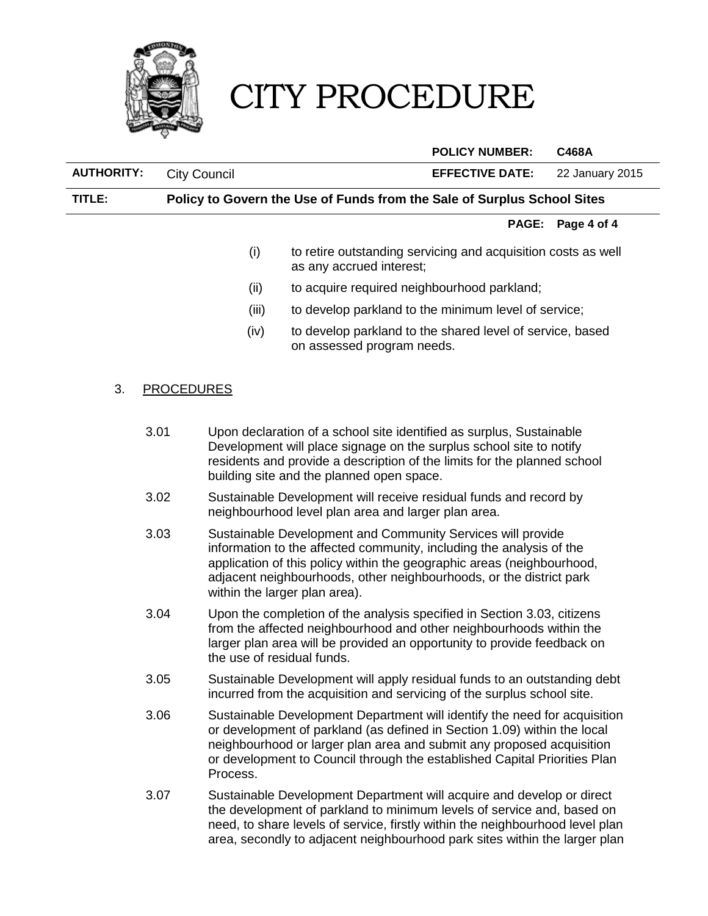

#### **POLICY NUMBER: C468A**

**AUTHORITY:** City Council **EFFECTIVE DATE:** 22 January 2015

**TITLE: Policy to Govern the Use of Funds from the Sale of Surplus School Sites** 

#### **PAGE: Page 4 of 4**

- (i) to retire outstanding servicing and acquisition costs as well as any accrued interest;
- (ii) to acquire required neighbourhood parkland;
- (iii) to develop parkland to the minimum level of service;
- (iv) to develop parkland to the shared level of service, based on assessed program needs.

#### 3. PROCEDURES

- 3.01 Upon declaration of a school site identified as surplus, Sustainable Development will place signage on the surplus school site to notify residents and provide a description of the limits for the planned school building site and the planned open space.
- 3.02 Sustainable Development will receive residual funds and record by neighbourhood level plan area and larger plan area.
- 3.03 Sustainable Development and Community Services will provide information to the affected community, including the analysis of the application of this policy within the geographic areas (neighbourhood, adjacent neighbourhoods, other neighbourhoods, or the district park within the larger plan area).
- 3.04 Upon the completion of the analysis specified in Section 3.03, citizens from the affected neighbourhood and other neighbourhoods within the larger plan area will be provided an opportunity to provide feedback on the use of residual funds.
- 3.05 Sustainable Development will apply residual funds to an outstanding debt incurred from the acquisition and servicing of the surplus school site.
- 3.06 Sustainable Development Department will identify the need for acquisition or development of parkland (as defined in Section 1.09) within the local neighbourhood or larger plan area and submit any proposed acquisition or development to Council through the established Capital Priorities Plan Process.
- 3.07 Sustainable Development Department will acquire and develop or direct the development of parkland to minimum levels of service and, based on need, to share levels of service, firstly within the neighbourhood level plan area, secondly to adjacent neighbourhood park sites within the larger plan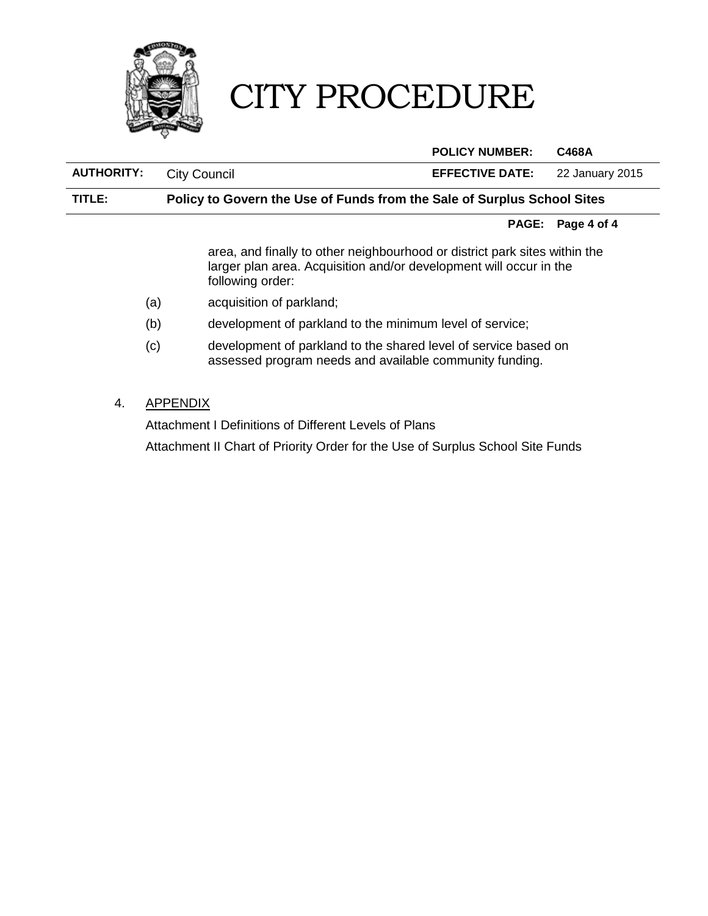

#### **POLICY NUMBER: C468A**

**AUTHORITY:** City Council **EFFECTIVE DATE:** 22 January 2015

#### **TITLE: Policy to Govern the Use of Funds from the Sale of Surplus School Sites**

#### **PAGE: Page 4 of 4**

area, and finally to other neighbourhood or district park sites within the larger plan area. Acquisition and/or development will occur in the following order:

- (a) acquisition of parkland;
- (b) development of parkland to the minimum level of service;
- (c) development of parkland to the shared level of service based on assessed program needs and available community funding.
- 4. APPENDIX

Attachment I Definitions of Different Levels of Plans

Attachment II Chart of Priority Order for the Use of Surplus School Site Funds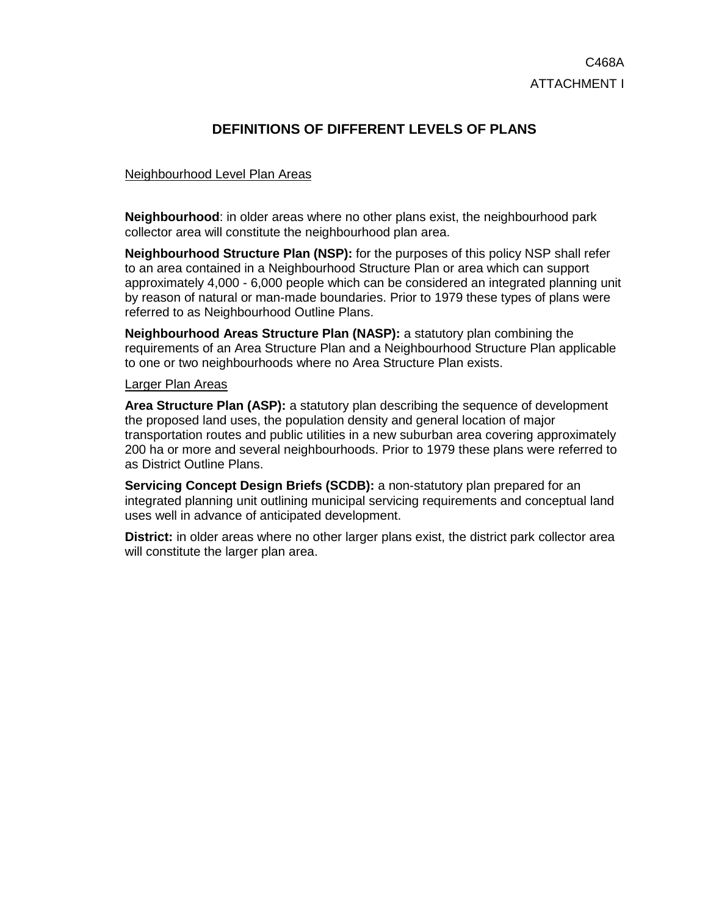## **DEFINITIONS OF DIFFERENT LEVELS OF PLANS**

#### Neighbourhood Level Plan Areas

**Neighbourhood**: in older areas where no other plans exist, the neighbourhood park collector area will constitute the neighbourhood plan area.

**Neighbourhood Structure Plan (NSP):** for the purposes of this policy NSP shall refer to an area contained in a Neighbourhood Structure Plan or area which can support approximately 4,000 - 6,000 people which can be considered an integrated planning unit by reason of natural or man-made boundaries. Prior to 1979 these types of plans were referred to as Neighbourhood Outline Plans.

**Neighbourhood Areas Structure Plan (NASP):** a statutory plan combining the requirements of an Area Structure Plan and a Neighbourhood Structure Plan applicable to one or two neighbourhoods where no Area Structure Plan exists.

#### Larger Plan Areas

**Area Structure Plan (ASP):** a statutory plan describing the sequence of development the proposed land uses, the population density and general location of major transportation routes and public utilities in a new suburban area covering approximately 200 ha or more and several neighbourhoods. Prior to 1979 these plans were referred to as District Outline Plans.

**Servicing Concept Design Briefs (SCDB):** a non-statutory plan prepared for an integrated planning unit outlining municipal servicing requirements and conceptual land uses well in advance of anticipated development.

**District:** in older areas where no other larger plans exist, the district park collector area will constitute the larger plan area.